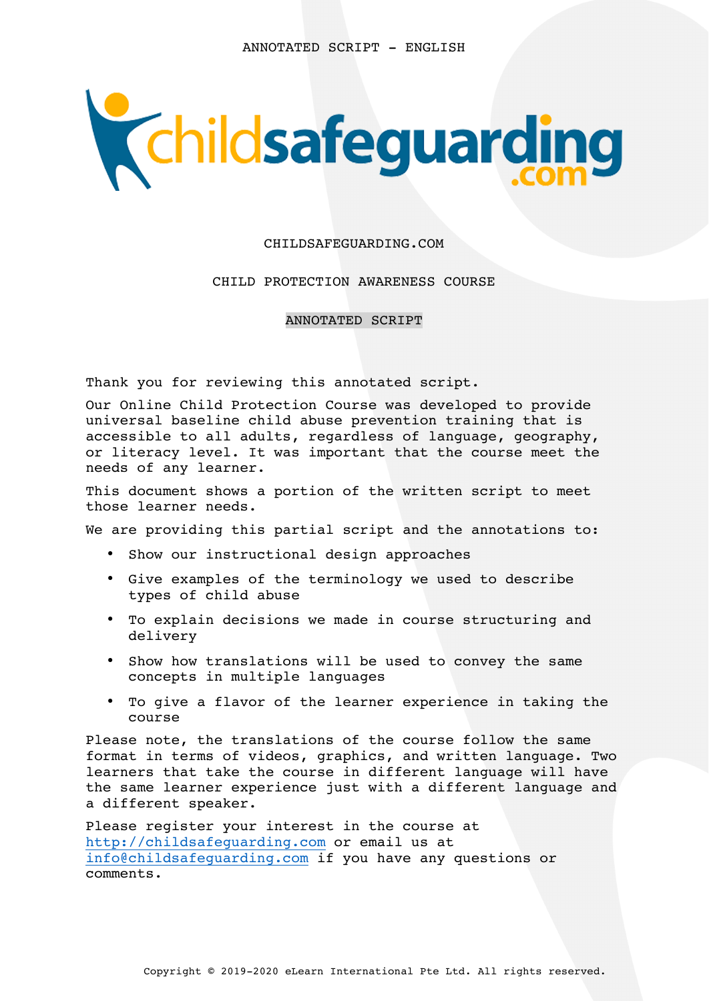

#### CHILDSAFEGUARDING.COM

### CHILD PROTECTION AWARENESS COURSE

ANNOTATED SCRIPT

Thank you for reviewing this annotated script.

Our Online Child Protection Course was developed to provide universal baseline child abuse prevention training that is accessible to all adults, regardless of language, geography, or literacy level. It was important that the course meet the needs of any learner.

This document shows a portion of the written script to meet those learner needs.

We are providing this partial script and the annotations to:

- Show our instructional design approaches
- Give examples of the terminology we used to describe types of child abuse
- To explain decisions we made in course structuring and delivery
- Show how translations will be used to convey the same concepts in multiple languages
- To give a flavor of the learner experience in taking the course

Please note, the translations of the course follow the same format in terms of videos, graphics, and written language. Two learners that take the course in different language will have the same learner experience just with a different language and a different speaker.

Please register your interest in the course at http://childsafeguarding.com or email us at info@childsafeguarding.com if you have any questions or comments.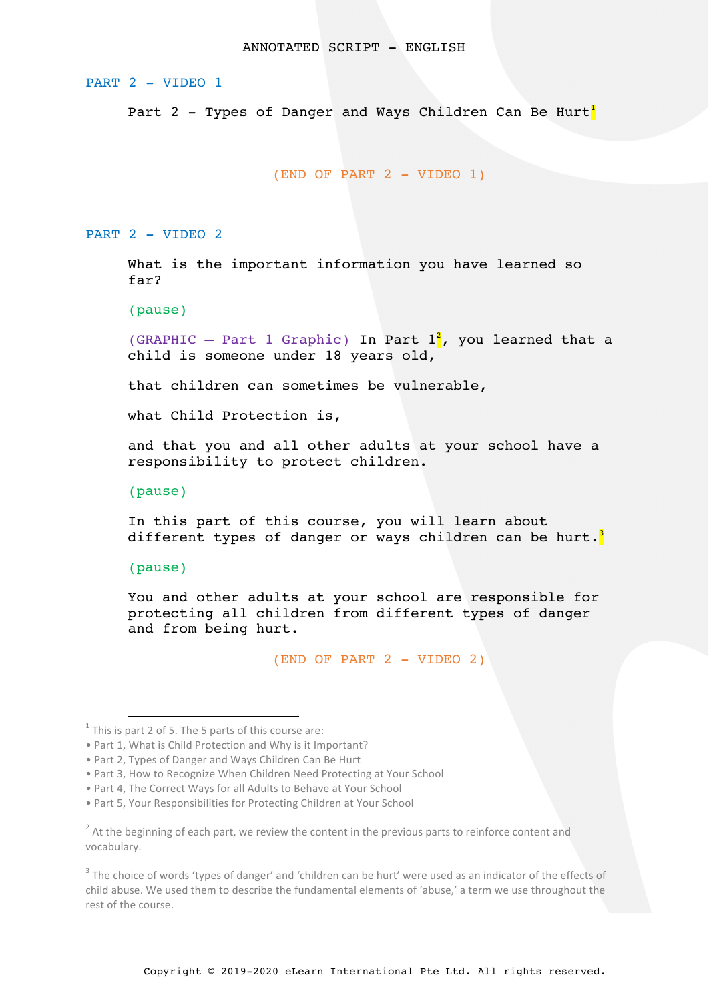#### PART 2 - VIDEO 1

Part 2 - Types of Danger and Ways Children Can Be Hurt<sup>1</sup>

(END OF PART 2 - VIDEO 1)

PART 2 - VIDEO 2

What is the important information you have learned so far?

(pause)

(GRAPHIC – Part 1 Graphic) In Part  $1^2$ , you learned that a child is someone under 18 years old,

that children can sometimes be vulnerable,

what Child Protection is,

and that you and all other adults at your school have a responsibility to protect children.

(pause)

In this part of this course, you will learn about different types of danger or ways children can be hurt.<sup>3</sup>

(pause)

You and other adults at your school are responsible for protecting all children from different types of danger and from being hurt.

(END OF PART 2 - VIDEO 2)

 $1$  This is part 2 of 5. The 5 parts of this course are:

<sup>•</sup> Part 1, What is Child Protection and Why is it Important?

<sup>•</sup> Part 2, Types of Danger and Ways Children Can Be Hurt

<sup>•</sup> Part 3, How to Recognize When Children Need Protecting at Your School

<sup>•</sup> Part 4, The Correct Ways for all Adults to Behave at Your School

<sup>•</sup> Part 5, Your Responsibilities for Protecting Children at Your School

 $2$  At the beginning of each part, we review the content in the previous parts to reinforce content and vocabulary.

 $3$  The choice of words 'types of danger' and 'children can be hurt' were used as an indicator of the effects of child abuse. We used them to describe the fundamental elements of 'abuse,' a term we use throughout the rest of the course.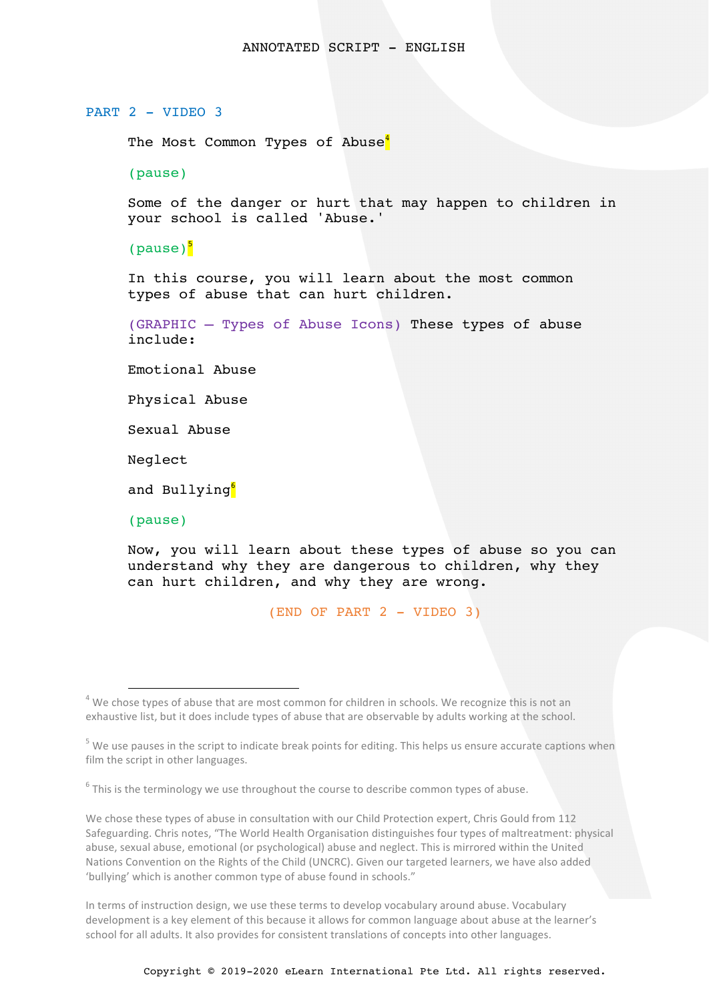# PART 2 - VIDEO 3

The Most Common Types of Abuse<sup>4</sup>

(pause)

Some of the danger or hurt that may happen to children in your school is called 'Abuse.'

(pause) $\frac{5}{5}$ 

In this course, you will learn about the most common types of abuse that can hurt children.

(GRAPHIC – Types of Abuse Icons) These types of abuse include:

Emotional Abuse

Physical Abuse

Sexual Abuse

Neglect

and Bullying<sup>6</sup>

(pause)

Now, you will learn about these types of abuse so you can understand why they are dangerous to children, why they can hurt children, and why they are wrong.

(END OF PART 2 - VIDEO 3)

 $6$  This is the terminology we use throughout the course to describe common types of abuse.

We chose these types of abuse in consultation with our Child Protection expert, Chris Gould from 112 Safeguarding. Chris notes, "The World Health Organisation distinguishes four types of maltreatment: physical abuse, sexual abuse, emotional (or psychological) abuse and neglect. This is mirrored within the United Nations Convention on the Rights of the Child (UNCRC). Given our targeted learners, we have also added 'bullying' which is another common type of abuse found in schools."

In terms of instruction design, we use these terms to develop vocabulary around abuse. Vocabulary development is a key element of this because it allows for common language about abuse at the learner's school for all adults. It also provides for consistent translations of concepts into other languages.

 $4$  We chose types of abuse that are most common for children in schools. We recognize this is not an exhaustive list, but it does include types of abuse that are observable by adults working at the school.

 $5$  We use pauses in the script to indicate break points for editing. This helps us ensure accurate captions when film the script in other languages.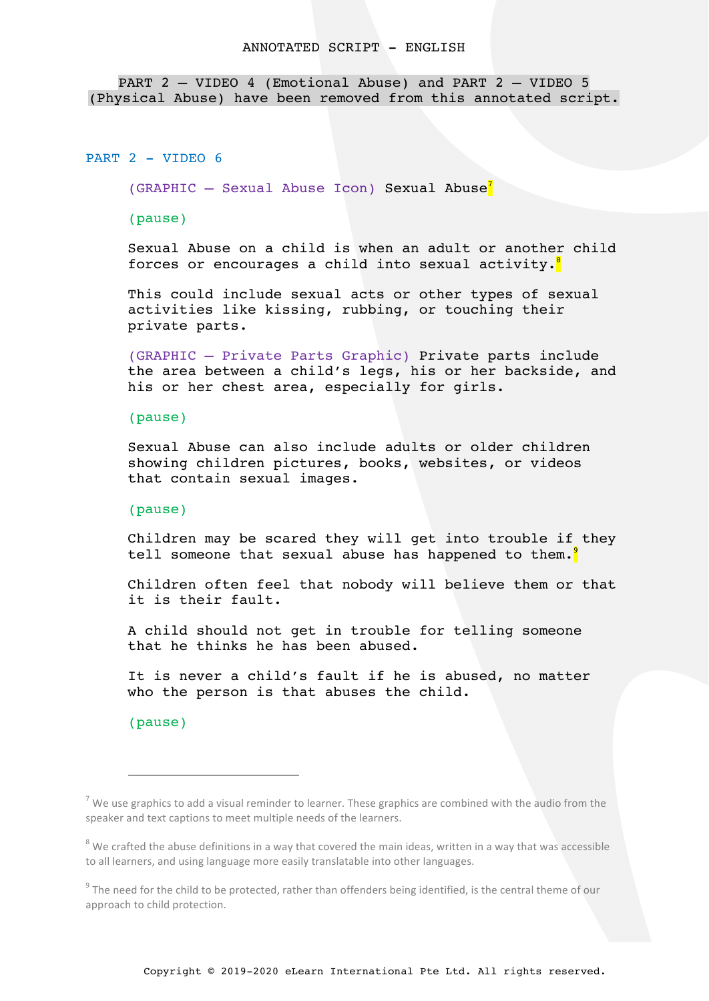PART 2 – VIDEO 4 (Emotional Abuse) and PART 2 – VIDEO 5 (Physical Abuse) have been removed from this annotated script.

#### PART 2 - VIDEO 6

 $(GRAPHIC - sexual Abuse Icon)$  Sexual Abuse<sup>7</sup>

(pause)

Sexual Abuse on a child is when an adult or another child forces or encourages a child into sexual activity.<sup>8</sup>

This could include sexual acts or other types of sexual activities like kissing, rubbing, or touching their private parts.

(GRAPHIC – Private Parts Graphic) Private parts include the area between a child's legs, his or her backside, and his or her chest area, especially for girls.

#### (pause)

Sexual Abuse can also include adults or older children showing children pictures, books, websites, or videos that contain sexual images.

#### (pause)

Children may be scared they will get into trouble if they tell someone that sexual abuse has happened to them.<sup>9</sup>

Children often feel that nobody will believe them or that it is their fault.

A child should not get in trouble for telling someone that he thinks he has been abused.

It is never a child's fault if he is abused, no matter who the person is that abuses the child.

(pause)

i

<sup>&</sup>lt;sup>7</sup> We use graphics to add a visual reminder to learner. These graphics are combined with the audio from the speaker and text captions to meet multiple needs of the learners.

 $8$  We crafted the abuse definitions in a way that covered the main ideas, written in a way that was accessible to all learners, and using language more easily translatable into other languages.

 $9$  The need for the child to be protected, rather than offenders being identified, is the central theme of our approach to child protection.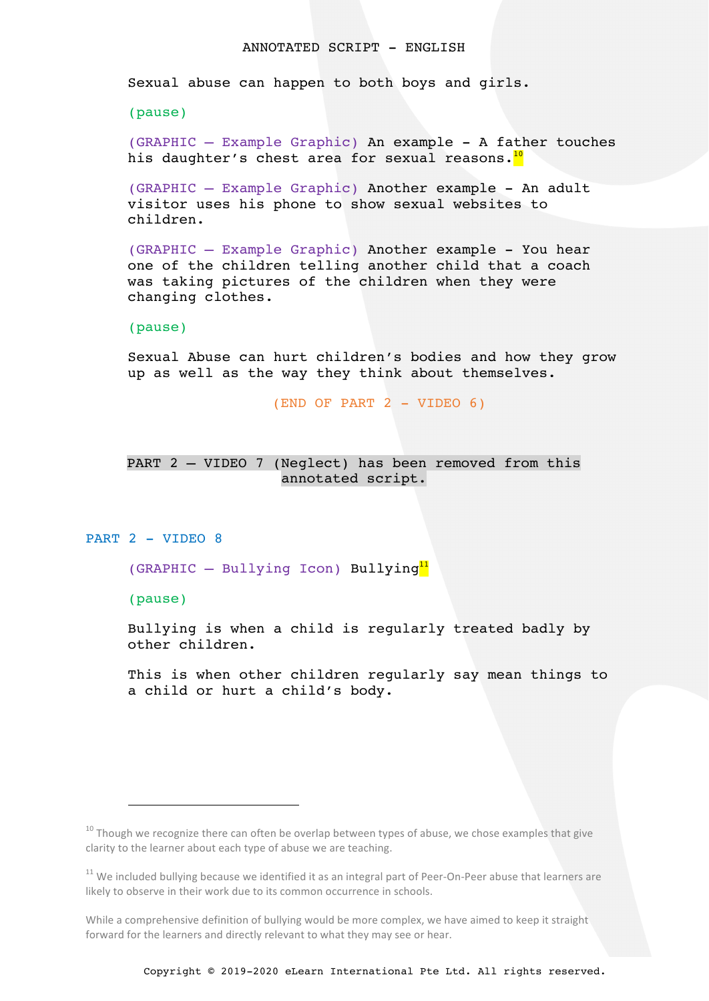Sexual abuse can happen to both boys and girls.

(pause)

(GRAPHIC – Example Graphic) An example - A father touches his daughter's chest area for sexual reasons.<sup>10</sup>

(GRAPHIC – Example Graphic) Another example - An adult visitor uses his phone to show sexual websites to children.

(GRAPHIC – Example Graphic) Another example - You hear one of the children telling another child that a coach was taking pictures of the children when they were changing clothes.

(pause)

Sexual Abuse can hurt children's bodies and how they grow up as well as the way they think about themselves.

 $(END OF PART 2 - VIDEO 6)$ 

# PART 2 – VIDEO 7 (Neglect) has been removed from this annotated script.

## PART 2 - VIDEO 8

(GRAPHIC – Bullying Icon) Bullying<sup>11</sup>

(pause)

i

Bullying is when a child is regularly treated badly by other children.

This is when other children regularly say mean things to a child or hurt a child's body.

 $10$  Though we recognize there can often be overlap between types of abuse, we chose examples that give clarity to the learner about each type of abuse we are teaching.

 $11$  We included bullying because we identified it as an integral part of Peer-On-Peer abuse that learners are likely to observe in their work due to its common occurrence in schools.

While a comprehensive definition of bullying would be more complex, we have aimed to keep it straight forward for the learners and directly relevant to what they may see or hear.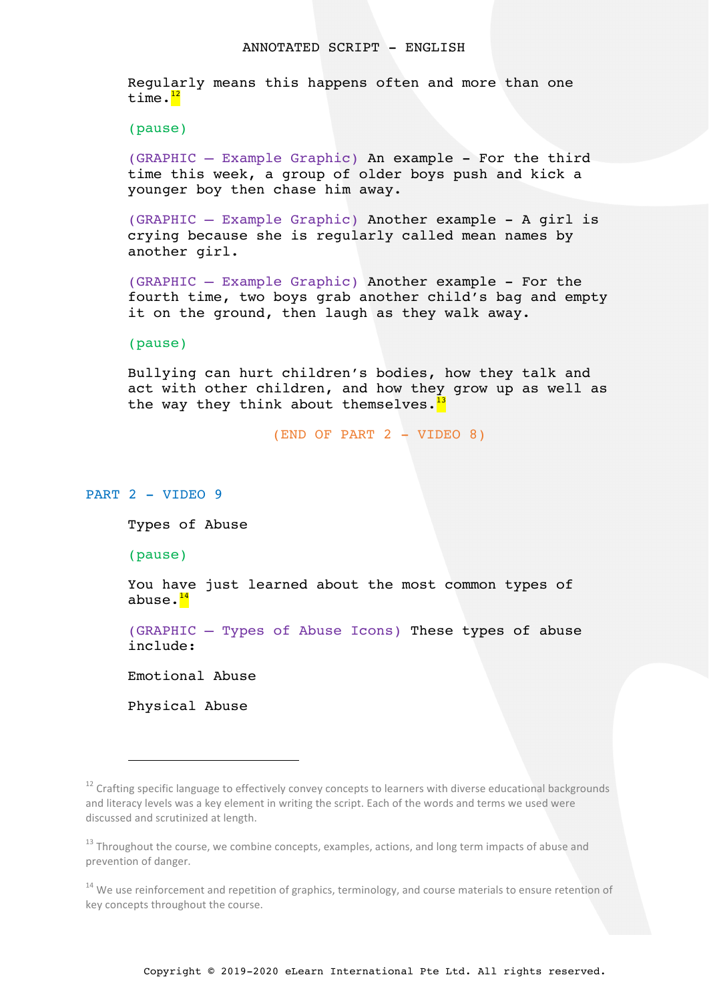Regularly means this happens often and more than one time.<sup>12</sup>

(pause)

(GRAPHIC – Example Graphic) An example - For the third time this week, a group of older boys push and kick a younger boy then chase him away.

(GRAPHIC – Example Graphic) Another example - A girl is crying because she is regularly called mean names by another girl.

(GRAPHIC – Example Graphic) Another example - For the fourth time, two boys grab another child's bag and empty it on the ground, then laugh as they walk away.

(pause)

Bullying can hurt children's bodies, how they talk and act with other children, and how they grow up as well as the way they think about themselves.<sup>13</sup>

(END OF PART 2 - VIDEO 8)

PART 2 - VIDEO 9

Types of Abuse

(pause)

You have just learned about the most common types of abuse.<sup>14</sup>

(GRAPHIC – Types of Abuse Icons) These types of abuse include:

Emotional Abuse

Physical Abuse

i<br>Li

 $12$  Crafting specific language to effectively convey concepts to learners with diverse educational backgrounds and literacy levels was a key element in writing the script. Each of the words and terms we used were discussed and scrutinized at length.

<sup>&</sup>lt;sup>13</sup> Throughout the course, we combine concepts, examples, actions, and long term impacts of abuse and prevention of danger.

 $14$  We use reinforcement and repetition of graphics, terminology, and course materials to ensure retention of key concepts throughout the course.